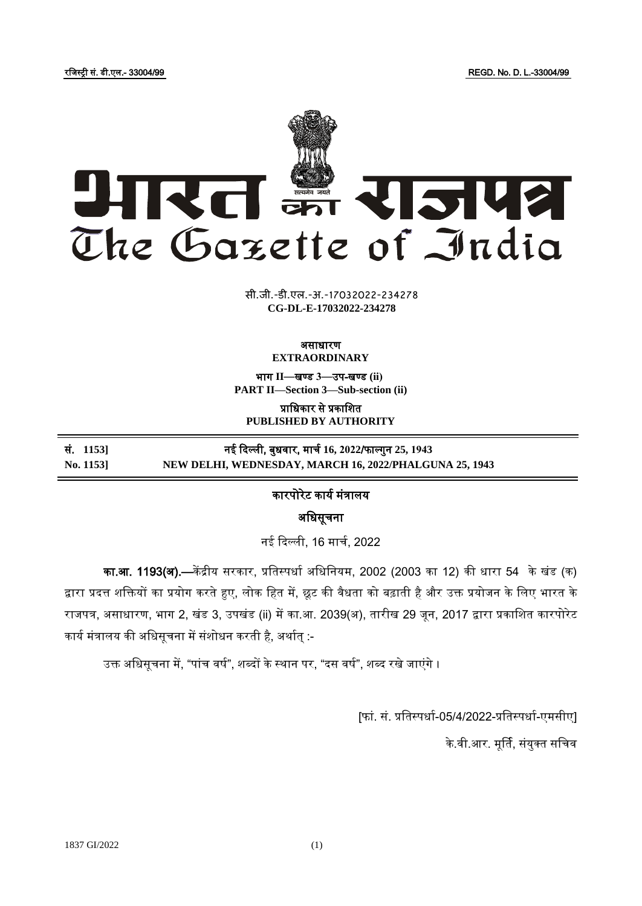रजिस्ट्री सं. डी.एल.- 33004/99 REGD. No. D. L.-33004/99



**xxxGIDHxxx xxx**GIDE**xxx CG-DL-E-17032022-234278**सी.जी.-डी.एल.-अ.-17032022-234278

## असाधारण **EXTRAORDINARY**

भाग **II**—खण् ड **3**—उप-खण् ड **(ii) PART II—Section 3—Sub-section (ii)**

प्राजधकार से प्रकाजित **PUBLISHED BY AUTHORITY**

| सं. 11531 | नई दिल्ली, बुधवार, मार्च 16, 2022/फाल्गुन 25, 1943     |
|-----------|--------------------------------------------------------|
| No. 1153  | NEW DELHI, WEDNESDAY, MARCH 16, 2022/PHALGUNA 25, 1943 |

## कारपोरेट कार्य मंत्रालर्

अजधसूचना

नई दिल्ली, 16 मार्च, 2022

का.आ. 1193(अ).—केंद्रीय सरकार, प्रतिस्पर्धा अधिनियम, 2002 (2003 का 12) की धारा 54 के खंड (क) द्वारा प्रदत्त शक्तियों का प्रयोग करते हुए, लोक हित में, छूट की वैधता को बढ़ाती है और उक्त प्रयोजन के लिए भारत के राजपत्र, असाधारण, भाग 2, खंड 3, उपखंड (ii) में का.आ. 2039(अ), तारीख 29 जून, 2017 द्वारा प्रकाशित कारपोरेट कार्य मंत्रालय की अधिसूचना में संशोधन करती है, अर्थात् :-

उक्त अधिसूचना में, "पांच वर्ष", शब्दों के स्थान पर, "दस वर्ष", शब्द रखे जाएंगे ।

[फां. सं. प्रतिस्पर्धा-05/4/2022-प्रतिस्पर्धा-एमसीए]

के.वी.आर. मूर्ति, संयुक्त सचिव